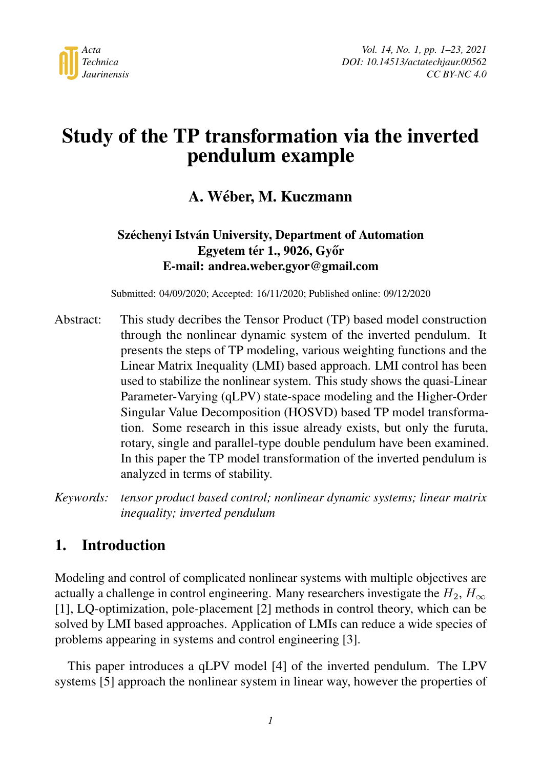

# Study of the TP transformation via the inverted pendulum example

## A. Weber, M. Kuczmann ´

### Széchenyi István University, Department of Automation Egyetem tér 1., 9026, Győr E-mail: andrea.weber.gyor@gmail.com

Submitted: 04/09/2020; Accepted: 16/11/2020; Published online: 09/12/2020

- Abstract: This study decribes the Tensor Product (TP) based model construction through the nonlinear dynamic system of the inverted pendulum. It presents the steps of TP modeling, various weighting functions and the Linear Matrix Inequality (LMI) based approach. LMI control has been used to stabilize the nonlinear system. This study shows the quasi-Linear Parameter-Varying (qLPV) state-space modeling and the Higher-Order Singular Value Decomposition (HOSVD) based TP model transformation. Some research in this issue already exists, but only the furuta, rotary, single and parallel-type double pendulum have been examined. In this paper the TP model transformation of the inverted pendulum is analyzed in terms of stability.
- *Keywords: tensor product based control; nonlinear dynamic systems; linear matrix inequality; inverted pendulum*

# 1. Introduction

Modeling and control of complicated nonlinear systems with multiple objectives are actually a challenge in control engineering. Many researchers investigate the  $H_2$ ,  $H_{\infty}$ [\[1\]](#page-19-0), LQ-optimization, pole-placement [\[2\]](#page-19-1) methods in control theory, which can be solved by LMI based approaches. Application of LMIs can reduce a wide species of problems appearing in systems and control engineering [\[3\]](#page-19-2).

This paper introduces a qLPV model [\[4\]](#page-19-3) of the inverted pendulum. The LPV systems [\[5\]](#page-19-4) approach the nonlinear system in linear way, however the properties of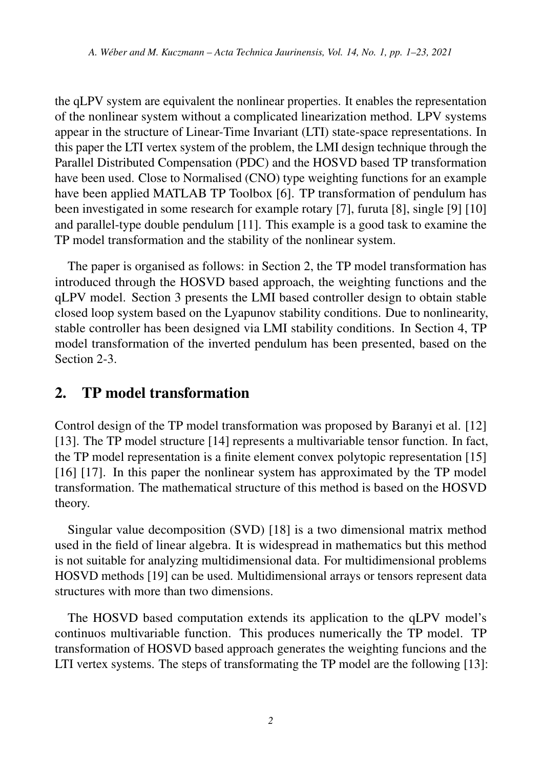the qLPV system are equivalent the nonlinear properties. It enables the representation of the nonlinear system without a complicated linearization method. LPV systems appear in the structure of Linear-Time Invariant (LTI) state-space representations. In this paper the LTI vertex system of the problem, the LMI design technique through the Parallel Distributed Compensation (PDC) and the HOSVD based TP transformation have been used. Close to Normalised (CNO) type weighting functions for an example have been applied MATLAB TP Toolbox [\[6\]](#page-19-5). TP transformation of pendulum has been investigated in some research for example rotary [\[7\]](#page-19-6), furuta [\[8\]](#page-20-0), single [\[9\]](#page-20-1) [\[10\]](#page-20-2) and parallel-type double pendulum [\[11\]](#page-20-3). This example is a good task to examine the TP model transformation and the stability of the nonlinear system.

The paper is organised as follows: in Section 2, the TP model transformation has introduced through the HOSVD based approach, the weighting functions and the qLPV model. Section 3 presents the LMI based controller design to obtain stable closed loop system based on the Lyapunov stability conditions. Due to nonlinearity, stable controller has been designed via LMI stability conditions. In Section 4, TP model transformation of the inverted pendulum has been presented, based on the Section 2-3.

# 2. TP model transformation

Control design of the TP model transformation was proposed by Baranyi et al. [\[12\]](#page-20-4) [\[13\]](#page-20-5). The TP model structure [\[14\]](#page-20-6) represents a multivariable tensor function. In fact, the TP model representation is a finite element convex polytopic representation [\[15\]](#page-20-7) [\[16\]](#page-20-8) [\[17\]](#page-21-0). In this paper the nonlinear system has approximated by the TP model transformation. The mathematical structure of this method is based on the HOSVD theory.

Singular value decomposition (SVD) [\[18\]](#page-21-1) is a two dimensional matrix method used in the field of linear algebra. It is widespread in mathematics but this method is not suitable for analyzing multidimensional data. For multidimensional problems HOSVD methods [\[19\]](#page-21-2) can be used. Multidimensional arrays or tensors represent data structures with more than two dimensions.

The HOSVD based computation extends its application to the qLPV model's continuos multivariable function. This produces numerically the TP model. TP transformation of HOSVD based approach generates the weighting funcions and the LTI vertex systems. The steps of transformating the TP model are the following [\[13\]](#page-20-5):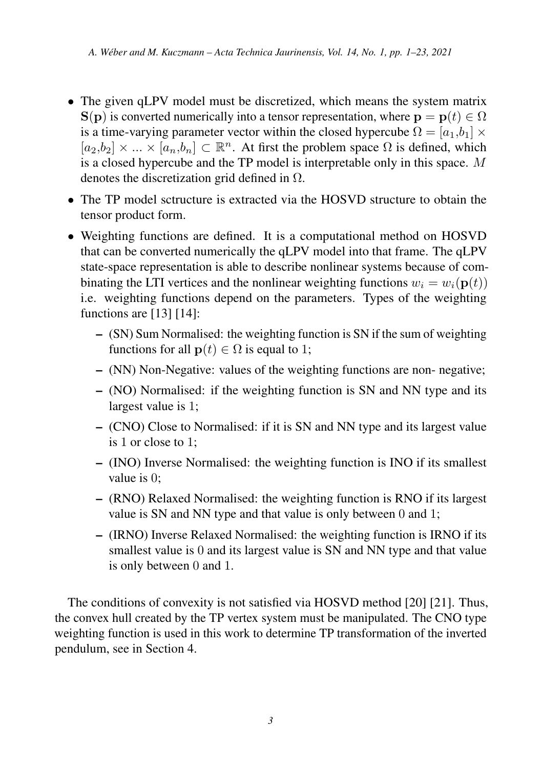- The given qLPV model must be discretized, which means the system matrix  $S(p)$  is converted numerically into a tensor representation, where  $p = p(t) \in \Omega$ is a time-varying parameter vector within the closed hypercube  $\Omega = [a_1, b_1] \times$  $[a_2,b_2] \times ... \times [a_n,b_n] \subset \mathbb{R}^n$ . At first the problem space  $\Omega$  is defined, which is a closed hypercube and the TP model is interpretable only in this space. M denotes the discretization grid defined in  $\Omega$ .
- The TP model sctructure is extracted via the HOSVD structure to obtain the tensor product form.
- Weighting functions are defined. It is a computational method on HOSVD that can be converted numerically the qLPV model into that frame. The qLPV state-space representation is able to describe nonlinear systems because of combinating the LTI vertices and the nonlinear weighting functions  $w_i = w_i(\mathbf{p}(t))$ i.e. weighting functions depend on the parameters. Types of the weighting functions are [\[13\]](#page-20-5) [\[14\]](#page-20-6):
	- (SN) Sum Normalised: the weighting function is SN if the sum of weighting functions for all  $\mathbf{p}(t) \in \Omega$  is equal to 1;
	- (NN) Non-Negative: values of the weighting functions are non- negative;
	- (NO) Normalised: if the weighting function is SN and NN type and its largest value is 1;
	- (CNO) Close to Normalised: if it is SN and NN type and its largest value is 1 or close to 1;
	- (INO) Inverse Normalised: the weighting function is INO if its smallest value is 0;
	- (RNO) Relaxed Normalised: the weighting function is RNO if its largest value is SN and NN type and that value is only between 0 and 1;
	- (IRNO) Inverse Relaxed Normalised: the weighting function is IRNO if its smallest value is 0 and its largest value is SN and NN type and that value is only between 0 and 1.

The conditions of convexity is not satisfied via HOSVD method [\[20\]](#page-21-3) [\[21\]](#page-21-4). Thus, the convex hull created by the TP vertex system must be manipulated. The CNO type weighting function is used in this work to determine TP transformation of the inverted pendulum, see in Section 4.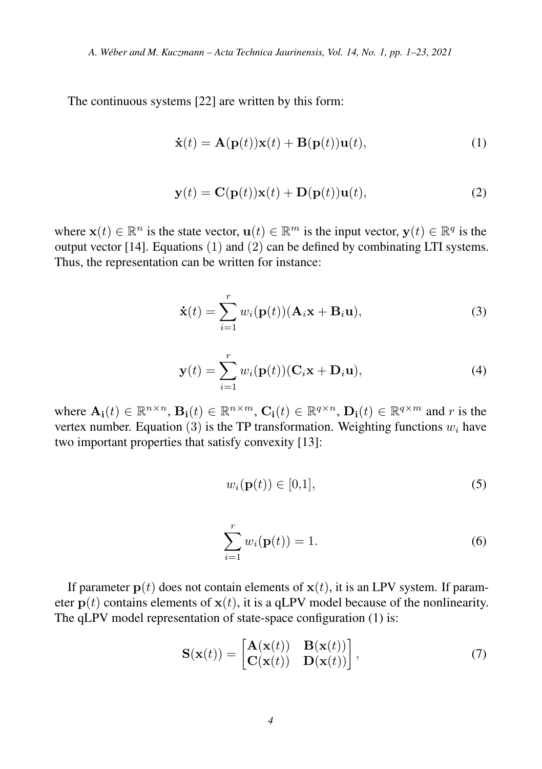The continuous systems [\[22\]](#page-21-5) are written by this form:

$$
\dot{\mathbf{x}}(t) = \mathbf{A}(\mathbf{p}(t))\mathbf{x}(t) + \mathbf{B}(\mathbf{p}(t))\mathbf{u}(t),
$$
\n(1)

$$
\mathbf{y}(t) = \mathbf{C}(\mathbf{p}(t))\mathbf{x}(t) + \mathbf{D}(\mathbf{p}(t))\mathbf{u}(t),
$$
\n(2)

where  $\mathbf{x}(t) \in \mathbb{R}^n$  is the state vector,  $\mathbf{u}(t) \in \mathbb{R}^m$  is the input vector,  $\mathbf{y}(t) \in \mathbb{R}^q$  is the output vector [\[14\]](#page-20-6). Equations  $(1)$  and  $(2)$  can be defined by combinating LTI systems. Thus, the representation can be written for instance:

$$
\dot{\mathbf{x}}(t) = \sum_{i=1}^{r} w_i(\mathbf{p}(t)) (\mathbf{A}_i \mathbf{x} + \mathbf{B}_i \mathbf{u}),
$$
\n(3)

$$
\mathbf{y}(t) = \sum_{i=1}^{r} w_i(\mathbf{p}(t)) (\mathbf{C}_i \mathbf{x} + \mathbf{D}_i \mathbf{u}),
$$
\n(4)

where  $\mathbf{A_i}(t) \in \mathbb{R}^{n \times n}$ ,  $\mathbf{B_i}(t) \in \mathbb{R}^{n \times m}$ ,  $\mathbf{C_i}(t) \in \mathbb{R}^{q \times n}$ ,  $\mathbf{D_i}(t) \in \mathbb{R}^{q \times m}$  and r is the vertex number. Equation (3) is the TP transformation. Weighting functions  $w_i$  have two important properties that satisfy convexity [\[13\]](#page-20-5):

$$
w_i(\mathbf{p}(t)) \in [0,1],\tag{5}
$$

$$
\sum_{i=1}^{r} w_i(\mathbf{p}(t)) = 1.
$$
 (6)

If parameter  $p(t)$  does not contain elements of  $x(t)$ , it is an LPV system. If parameter  $p(t)$  contains elements of  $x(t)$ , it is a qLPV model because of the nonlinearity. The qLPV model representation of state-space configuration (1) is:

$$
\mathbf{S}(\mathbf{x}(t)) = \begin{bmatrix} \mathbf{A}(\mathbf{x}(t)) & \mathbf{B}(\mathbf{x}(t)) \\ \mathbf{C}(\mathbf{x}(t)) & \mathbf{D}(\mathbf{x}(t)) \end{bmatrix},\tag{7}
$$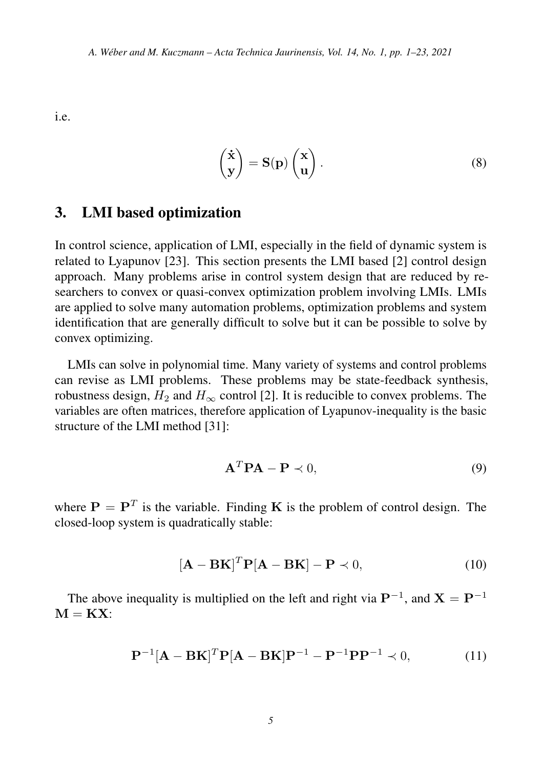i.e.

$$
\begin{pmatrix} \dot{x} \\ y \end{pmatrix} = S(p) \begin{pmatrix} x \\ u \end{pmatrix}.
$$
 (8)

### 3. LMI based optimization

In control science, application of LMI, especially in the field of dynamic system is related to Lyapunov [\[23\]](#page-21-6). This section presents the LMI based [\[2\]](#page-19-1) control design approach. Many problems arise in control system design that are reduced by researchers to convex or quasi-convex optimization problem involving LMIs. LMIs are applied to solve many automation problems, optimization problems and system identification that are generally difficult to solve but it can be possible to solve by convex optimizing.

LMIs can solve in polynomial time. Many variety of systems and control problems can revise as LMI problems. These problems may be state-feedback synthesis, robustness design,  $H_2$  and  $H_{\infty}$  control [\[2\]](#page-19-1). It is reducible to convex problems. The variables are often matrices, therefore application of Lyapunov-inequality is the basic structure of the LMI method [\[31\]](#page-22-0):

$$
\mathbf{A}^T \mathbf{P} \mathbf{A} - \mathbf{P} \prec 0,\tag{9}
$$

where  $P = P<sup>T</sup>$  is the variable. Finding K is the problem of control design. The closed-loop system is quadratically stable:

$$
[\mathbf{A} - \mathbf{B}\mathbf{K}]^T \mathbf{P} [\mathbf{A} - \mathbf{B}\mathbf{K}] - \mathbf{P} \prec 0,
$$
\n(10)

The above inequality is multiplied on the left and right via  $\mathbf{P}^{-1}$ , and  $\mathbf{X} = \mathbf{P}^{-1}$  $M = KX$ :

$$
\mathbf{P}^{-1}[\mathbf{A} - \mathbf{B}\mathbf{K}]^T \mathbf{P}[\mathbf{A} - \mathbf{B}\mathbf{K}] \mathbf{P}^{-1} - \mathbf{P}^{-1} \mathbf{P} \mathbf{P}^{-1} \prec 0,
$$
 (11)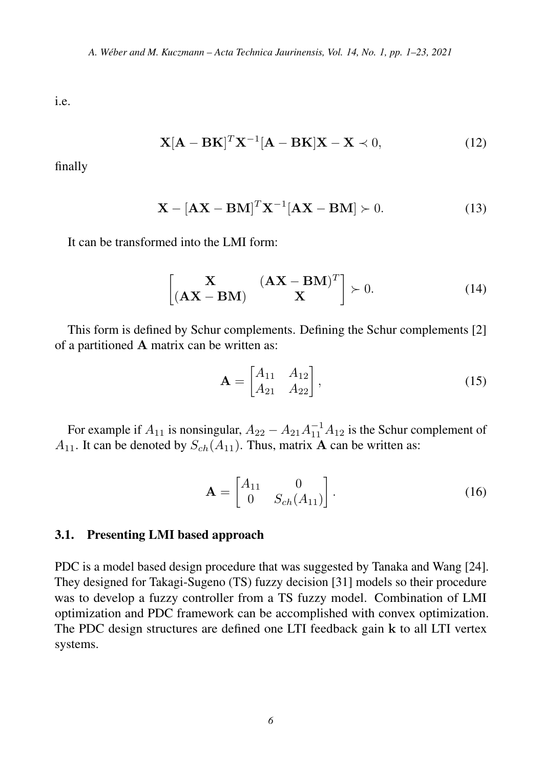i.e.

$$
\mathbf{X}[\mathbf{A} - \mathbf{B}\mathbf{K}]^T \mathbf{X}^{-1} [\mathbf{A} - \mathbf{B}\mathbf{K}] \mathbf{X} - \mathbf{X} \prec 0,
$$
 (12)

finally

$$
\mathbf{X} - [\mathbf{A}\mathbf{X} - \mathbf{B}\mathbf{M}]^T \mathbf{X}^{-1} [\mathbf{A}\mathbf{X} - \mathbf{B}\mathbf{M}] \succ 0.
$$
 (13)

It can be transformed into the LMI form:

$$
\begin{bmatrix} \mathbf{X} & (\mathbf{AX} - \mathbf{BM})^T \\ (\mathbf{AX} - \mathbf{BM}) & \mathbf{X} \end{bmatrix} \succ 0.
$$
 (14)

This form is defined by Schur complements. Defining the Schur complements [\[2\]](#page-19-1) of a partitioned A matrix can be written as:

$$
\mathbf{A} = \begin{bmatrix} A_{11} & A_{12} \\ A_{21} & A_{22} \end{bmatrix},
$$
 (15)

For example if  $A_{11}$  is nonsingular,  $A_{22} - A_{21}A_{11}^{-1}A_{12}$  is the Schur complement of  $A_{11}$ . It can be denoted by  $S_{ch}(A_{11})$ . Thus, matrix **A** can be written as:

$$
\mathbf{A} = \begin{bmatrix} A_{11} & 0 \\ 0 & S_{ch}(A_{11}) \end{bmatrix} . \tag{16}
$$

#### 3.1. Presenting LMI based approach

PDC is a model based design procedure that was suggested by Tanaka and Wang [\[24\]](#page-21-7). They designed for Takagi-Sugeno (TS) fuzzy decision [\[31\]](#page-22-0) models so their procedure was to develop a fuzzy controller from a TS fuzzy model. Combination of LMI optimization and PDC framework can be accomplished with convex optimization. The PDC design structures are defined one LTI feedback gain k to all LTI vertex systems.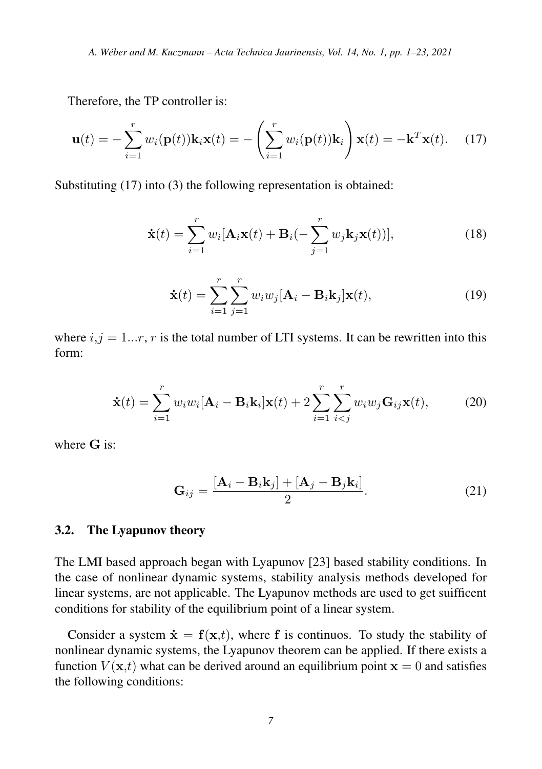Therefore, the TP controller is:

$$
\mathbf{u}(t) = -\sum_{i=1}^{r} w_i(\mathbf{p}(t))\mathbf{k}_i \mathbf{x}(t) = -\left(\sum_{i=1}^{r} w_i(\mathbf{p}(t))\mathbf{k}_i\right) \mathbf{x}(t) = -\mathbf{k}^T \mathbf{x}(t). \quad (17)
$$

Substituting (17) into (3) the following representation is obtained:

$$
\dot{\mathbf{x}}(t) = \sum_{i=1}^{r} w_i [\mathbf{A}_i \mathbf{x}(t) + \mathbf{B}_i(-\sum_{j=1}^{r} w_j \mathbf{k}_j \mathbf{x}(t))],
$$
\n(18)

$$
\dot{\mathbf{x}}(t) = \sum_{i=1}^{r} \sum_{j=1}^{r} w_i w_j [\mathbf{A}_i - \mathbf{B}_i \mathbf{k}_j] \mathbf{x}(t),
$$
\n(19)

where  $i, j = 1...r$ , r is the total number of LTI systems. It can be rewritten into this form:

$$
\dot{\mathbf{x}}(t) = \sum_{i=1}^{r} w_i w_i [\mathbf{A}_i - \mathbf{B}_i \mathbf{k}_i] \mathbf{x}(t) + 2 \sum_{i=1}^{r} \sum_{i < j}^{r} w_i w_j \mathbf{G}_{ij} \mathbf{x}(t), \tag{20}
$$

where  $G$  is:

$$
\mathbf{G}_{ij} = \frac{[\mathbf{A}_i - \mathbf{B}_i \mathbf{k}_j] + [\mathbf{A}_j - \mathbf{B}_j \mathbf{k}_i]}{2}.
$$
 (21)

#### 3.2. The Lyapunov theory

The LMI based approach began with Lyapunov [\[23\]](#page-21-6) based stability conditions. In the case of nonlinear dynamic systems, stability analysis methods developed for linear systems, are not applicable. The Lyapunov methods are used to get suifficent conditions for stability of the equilibrium point of a linear system.

Consider a system  $\dot{\mathbf{x}} = \mathbf{f}(\mathbf{x},t)$ , where f is continuos. To study the stability of nonlinear dynamic systems, the Lyapunov theorem can be applied. If there exists a function  $V(\mathbf{x},t)$  what can be derived around an equilibrium point  $\mathbf{x} = 0$  and satisfies the following conditions: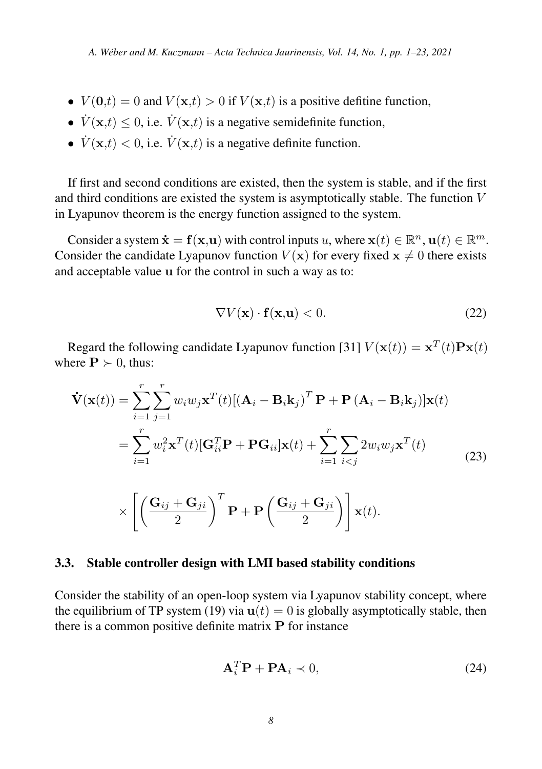- $V(\mathbf{0},t) = 0$  and  $V(\mathbf{x},t) > 0$  if  $V(\mathbf{x},t)$  is a positive defitine function,
- $\dot{V}(\mathbf{x},t) \leq 0$ , i.e.  $\dot{V}(\mathbf{x},t)$  is a negative semidefinite function,
- $\dot{V}(\mathbf{x},t) < 0$ , i.e.  $\dot{V}(\mathbf{x},t)$  is a negative definite function.

If first and second conditions are existed, then the system is stable, and if the first and third conditions are existed the system is asymptotically stable. The function V in Lyapunov theorem is the energy function assigned to the system.

Consider a system  $\dot{\mathbf{x}} = \mathbf{f}(\mathbf{x}, \mathbf{u})$  with control inputs u, where  $\mathbf{x}(t) \in \mathbb{R}^n$ ,  $\mathbf{u}(t) \in \mathbb{R}^m$ . Consider the candidate Lyapunov function  $V(\mathbf{x})$  for every fixed  $\mathbf{x} \neq 0$  there exists and acceptable value u for the control in such a way as to:

$$
\nabla V(\mathbf{x}) \cdot \mathbf{f}(\mathbf{x}, \mathbf{u}) < 0. \tag{22}
$$

Regard the following candidate Lyapunov function [\[31\]](#page-22-0)  $V(\mathbf{x}(t)) = \mathbf{x}^{T}(t)\mathbf{P}\mathbf{x}(t)$ where  $P \succ 0$ , thus:

$$
\dot{\mathbf{V}}(\mathbf{x}(t)) = \sum_{i=1}^{r} \sum_{j=1}^{r} w_i w_j \mathbf{x}^{T}(t) [(\mathbf{A}_i - \mathbf{B}_i \mathbf{k}_j)^T \mathbf{P} + \mathbf{P} (\mathbf{A}_i - \mathbf{B}_i \mathbf{k}_j)] \mathbf{x}(t)
$$
\n
$$
= \sum_{i=1}^{r} w_i^2 \mathbf{x}^{T}(t) [\mathbf{G}_{ii}^{T} \mathbf{P} + \mathbf{P} \mathbf{G}_{ii}] \mathbf{x}(t) + \sum_{i=1}^{r} \sum_{i < j} 2w_i w_j \mathbf{x}^{T}(t)
$$
\n
$$
\times \left[ \left( \frac{\mathbf{G}_{ij} + \mathbf{G}_{ji}}{2} \right)^T \mathbf{P} + \mathbf{P} \left( \frac{\mathbf{G}_{ij} + \mathbf{G}_{ji}}{2} \right) \right] \mathbf{x}(t).
$$
\n(23)

#### 3.3. Stable controller design with LMI based stability conditions

Consider the stability of an open-loop system via Lyapunov stability concept, where the equilibrium of TP system (19) via  $u(t) = 0$  is globally asymptotically stable, then there is a common positive definite matrix P for instance

$$
\mathbf{A}_i^T \mathbf{P} + \mathbf{P} \mathbf{A}_i \prec 0, \tag{24}
$$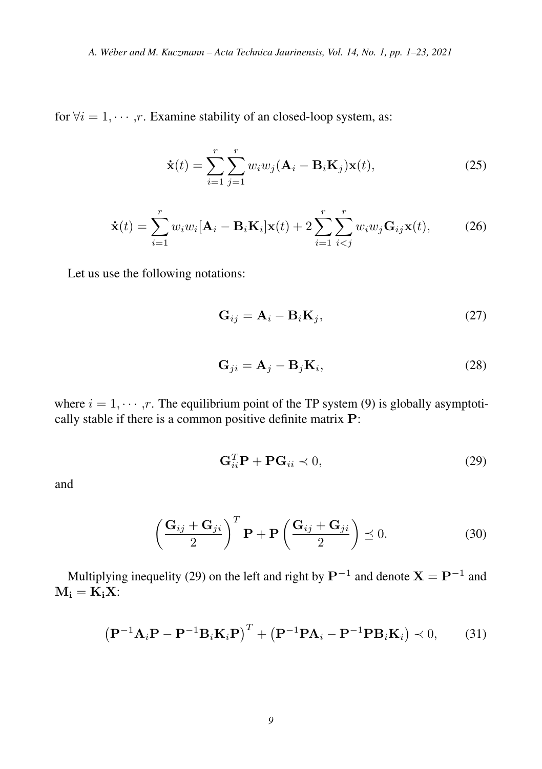for  $\forall i = 1, \dots, r$ . Examine stability of an closed-loop system, as:

$$
\dot{\mathbf{x}}(t) = \sum_{i=1}^{r} \sum_{j=1}^{r} w_i w_j (\mathbf{A}_i - \mathbf{B}_i \mathbf{K}_j) \mathbf{x}(t),
$$
\n(25)

$$
\dot{\mathbf{x}}(t) = \sum_{i=1}^{r} w_i w_i [\mathbf{A}_i - \mathbf{B}_i \mathbf{K}_i] \mathbf{x}(t) + 2 \sum_{i=1}^{r} \sum_{i < j}^{r} w_i w_j \mathbf{G}_{ij} \mathbf{x}(t), \tag{26}
$$

Let us use the following notations:

$$
\mathbf{G}_{ij} = \mathbf{A}_i - \mathbf{B}_i \mathbf{K}_j,\tag{27}
$$

$$
\mathbf{G}_{ji} = \mathbf{A}_j - \mathbf{B}_j \mathbf{K}_i,\tag{28}
$$

where  $i = 1, \dots, r$ . The equilibrium point of the TP system (9) is globally asymptotically stable if there is a common positive definite matrix P:

$$
\mathbf{G}_{ii}^T \mathbf{P} + \mathbf{P} \mathbf{G}_{ii} \prec 0, \tag{29}
$$

and

$$
\left(\frac{G_{ij} + G_{ji}}{2}\right)^T \mathbf{P} + \mathbf{P}\left(\frac{G_{ij} + G_{ji}}{2}\right) \preceq 0.
$$
 (30)

Multiplying inequelity (29) on the left and right by  $\mathbf{P}^{-1}$  and denote  $\mathbf{X} = \mathbf{P}^{-1}$  and  $M_i = K_i X$ :

$$
\left(\mathbf{P}^{-1}\mathbf{A}_i\mathbf{P} - \mathbf{P}^{-1}\mathbf{B}_i\mathbf{K}_i\mathbf{P}\right)^T + \left(\mathbf{P}^{-1}\mathbf{P}\mathbf{A}_i - \mathbf{P}^{-1}\mathbf{P}\mathbf{B}_i\mathbf{K}_i\right) \prec 0,\tag{31}
$$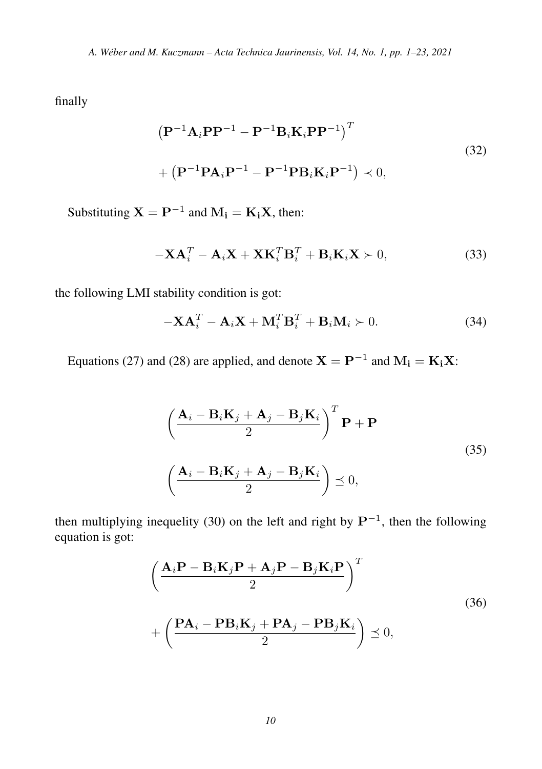finally

$$
\left(\mathbf{P}^{-1}\mathbf{A}_{i}\mathbf{P}\mathbf{P}^{-1}-\mathbf{P}^{-1}\mathbf{B}_{i}\mathbf{K}_{i}\mathbf{P}\mathbf{P}^{-1}\right)^{T}
$$
  
+
$$
\left(\mathbf{P}^{-1}\mathbf{P}\mathbf{A}_{i}\mathbf{P}^{-1}-\mathbf{P}^{-1}\mathbf{P}\mathbf{B}_{i}\mathbf{K}_{i}\mathbf{P}^{-1}\right)\prec 0,
$$
 (32)

Substituting  $X = P^{-1}$  and  $M_i = K_i X$ , then:

$$
-\mathbf{X}\mathbf{A}_i^T - \mathbf{A}_i\mathbf{X} + \mathbf{X}\mathbf{K}_i^T\mathbf{B}_i^T + \mathbf{B}_i\mathbf{K}_i\mathbf{X} \succ 0,
$$
\n(33)

the following LMI stability condition is got:

$$
-\mathbf{X}\mathbf{A}_i^T - \mathbf{A}_i\mathbf{X} + \mathbf{M}_i^T\mathbf{B}_i^T + \mathbf{B}_i\mathbf{M}_i \succ 0. \tag{34}
$$

Equations (27) and (28) are applied, and denote  $X = P^{-1}$  and  $M_i = K_i X$ :

$$
\left(\frac{\mathbf{A}_{i} - \mathbf{B}_{i}\mathbf{K}_{j} + \mathbf{A}_{j} - \mathbf{B}_{j}\mathbf{K}_{i}}{2}\right)^{T} \mathbf{P} + \mathbf{P}
$$
\n
$$
\left(\frac{\mathbf{A}_{i} - \mathbf{B}_{i}\mathbf{K}_{j} + \mathbf{A}_{j} - \mathbf{B}_{j}\mathbf{K}_{i}}{2}\right) \preceq 0,
$$
\n(35)

then multiplying inequelity (30) on the left and right by  $\mathbf{P}^{-1}$ , then the following equation is got:

$$
\left(\frac{\mathbf{A}_{i}\mathbf{P}-\mathbf{B}_{i}\mathbf{K}_{j}\mathbf{P}+\mathbf{A}_{j}\mathbf{P}-\mathbf{B}_{j}\mathbf{K}_{i}\mathbf{P}}{2}\right)^{T}
$$
\n
$$
+\left(\frac{\mathbf{P}\mathbf{A}_{i}-\mathbf{P}\mathbf{B}_{i}\mathbf{K}_{j}+\mathbf{P}\mathbf{A}_{j}-\mathbf{P}\mathbf{B}_{j}\mathbf{K}_{i}}{2}\right)\preceq 0,
$$
\n(36)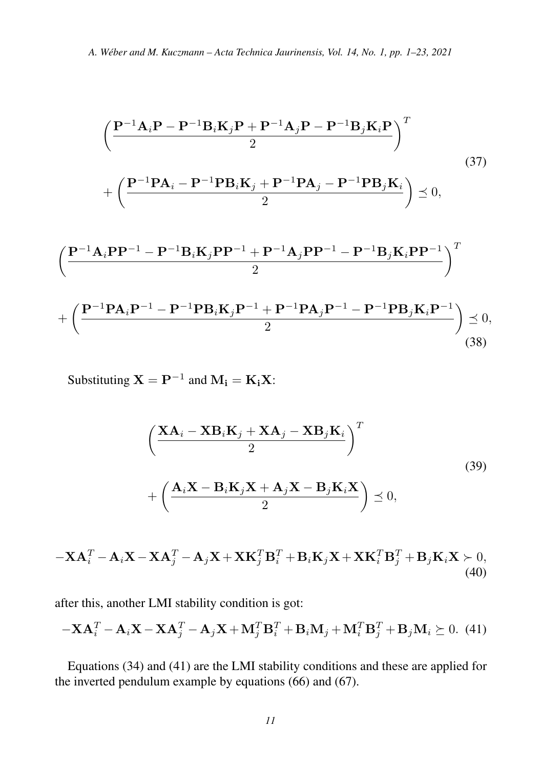$$
\left(\frac{P^{-1}A_{i}P - P^{-1}B_{i}K_{j}P + P^{-1}A_{j}P - P^{-1}B_{j}K_{i}P}{2}\right)^{T}
$$
\n
$$
+\left(\frac{P^{-1}PA_{i} - P^{-1}PB_{i}K_{j} + P^{-1}PA_{j} - P^{-1}PB_{j}K_{i}}{2}\right) \leq 0,
$$
\n
$$
\left(\frac{P^{-1}A_{i}PP^{-1} - P^{-1}B_{i}K_{j}PP^{-1} + P^{-1}A_{j}PP^{-1} - P^{-1}B_{j}K_{i}PP^{-1}}{2}\right)^{T}
$$
\n
$$
+\left(\frac{P^{-1}PA_{i}P^{-1} - P^{-1}PB_{i}K_{j}P^{-1} + P^{-1}PA_{j}P^{-1} - P^{-1}PB_{j}K_{i}P^{-1}}{2}\right) \leq 0,
$$
\n(38)

Substituting 
$$
X = P^{-1}
$$
 and  $M_i = K_i X$ :

$$
\left(\frac{\mathbf{XA}_{i} - \mathbf{XB}_{i}\mathbf{K}_{j} + \mathbf{XA}_{j} - \mathbf{XB}_{j}\mathbf{K}_{i}}{2}\right)^{T} + \left(\frac{\mathbf{A}_{i}\mathbf{X} - \mathbf{B}_{i}\mathbf{K}_{j}\mathbf{X} + \mathbf{A}_{j}\mathbf{X} - \mathbf{B}_{j}\mathbf{K}_{i}\mathbf{X}}{2}\right) \preceq 0,
$$
\n(39)

$$
-\mathbf{X}\mathbf{A}_{i}^{T} - \mathbf{A}_{i}\mathbf{X} - \mathbf{X}\mathbf{A}_{j}^{T} - \mathbf{A}_{j}\mathbf{X} + \mathbf{X}\mathbf{K}_{j}^{T}\mathbf{B}_{i}^{T} + \mathbf{B}_{i}\mathbf{K}_{j}\mathbf{X} + \mathbf{X}\mathbf{K}_{i}^{T}\mathbf{B}_{j}^{T} + \mathbf{B}_{j}\mathbf{K}_{i}\mathbf{X} \succ 0,
$$
\n(40)

after this, another LMI stability condition is got:

$$
-\mathbf{X}\mathbf{A}_i^T - \mathbf{A}_i \mathbf{X} - \mathbf{X}\mathbf{A}_j^T - \mathbf{A}_j \mathbf{X} + \mathbf{M}_j^T \mathbf{B}_i^T + \mathbf{B}_i \mathbf{M}_j + \mathbf{M}_i^T \mathbf{B}_j^T + \mathbf{B}_j \mathbf{M}_i \succeq 0.
$$
 (41)

Equations (34) and (41) are the LMI stability conditions and these are applied for the inverted pendulum example by equations (66) and (67).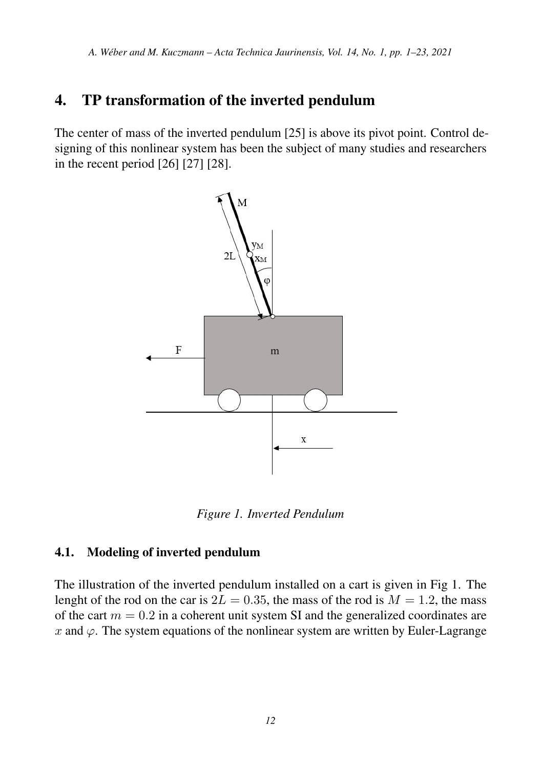# 4. TP transformation of the inverted pendulum

The center of mass of the inverted pendulum [\[25\]](#page-22-1) is above its pivot point. Control designing of this nonlinear system has been the subject of many studies and researchers in the recent period [\[26\]](#page-22-2) [\[27\]](#page-22-3) [\[28\]](#page-22-4).



*Figure 1. Inverted Pendulum*

### 4.1. Modeling of inverted pendulum

The illustration of the inverted pendulum installed on a cart is given in Fig 1. The lenght of the rod on the car is  $2L = 0.35$ , the mass of the rod is  $M = 1.2$ , the mass of the cart  $m = 0.2$  in a coherent unit system SI and the generalized coordinates are x and  $\varphi$ . The system equations of the nonlinear system are written by Euler-Lagrange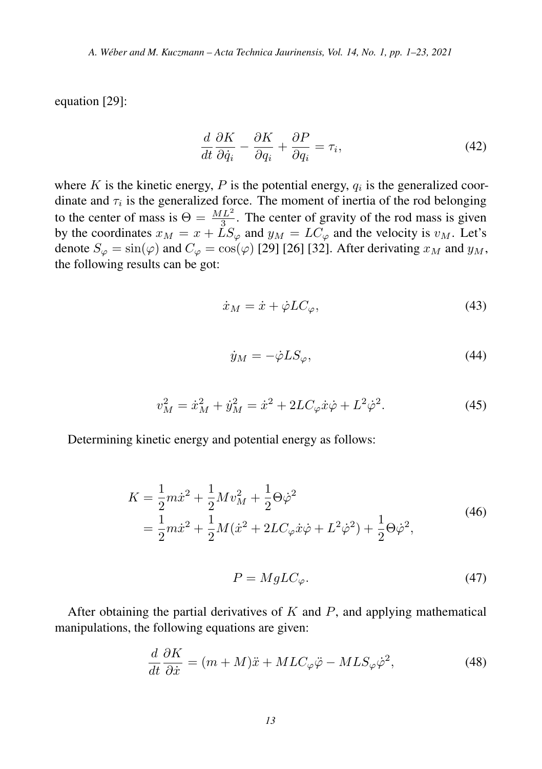equation [\[29\]](#page-22-5):

$$
\frac{d}{dt}\frac{\partial K}{\partial \dot{q}_i} - \frac{\partial K}{\partial q_i} + \frac{\partial P}{\partial q_i} = \tau_i,
$$
\n(42)

where K is the kinetic energy, P is the potential energy,  $q_i$  is the generalized coordinate and  $\tau_i$  is the generalized force. The moment of inertia of the rod belonging to the center of mass is  $\Theta = \frac{ML^2}{3}$ . The center of gravity of the rod mass is given by the coordinates  $x_M = x + LS_{\varphi}$  and  $y_M = LC_{\varphi}$  and the velocity is  $v_M$ . Let's denote  $S_{\varphi} = \sin(\varphi)$  and  $C_{\varphi} = \cos(\varphi)$  [\[29\]](#page-22-5) [\[26\]](#page-22-2) [\[32\]](#page-22-6). After derivating  $x_M$  and  $y_M$ , the following results can be got:

$$
\dot{x}_M = \dot{x} + \dot{\varphi} LC_{\varphi},\tag{43}
$$

$$
\dot{y}_M = -\dot{\varphi} L S_{\varphi},\tag{44}
$$

$$
v_M^2 = \dot{x}_M^2 + \dot{y}_M^2 = \dot{x}^2 + 2LC_{\varphi}\dot{x}\dot{\varphi} + L^2\dot{\varphi}^2.
$$
 (45)

Determining kinetic energy and potential energy as follows:

$$
K = \frac{1}{2}m\dot{x}^2 + \frac{1}{2}Mv_M^2 + \frac{1}{2}\Theta\dot{\varphi}^2
$$
  
=  $\frac{1}{2}m\dot{x}^2 + \frac{1}{2}M(\dot{x}^2 + 2LC_{\varphi}\dot{x}\dot{\varphi} + L^2\dot{\varphi}^2) + \frac{1}{2}\Theta\dot{\varphi}^2,$  (46)

$$
P = MgLC_{\varphi}.\tag{47}
$$

After obtaining the partial derivatives of  $K$  and  $P$ , and applying mathematical manipulations, the following equations are given:

$$
\frac{d}{dt}\frac{\partial K}{\partial \dot{x}} = (m+M)\ddot{x} + MLC_{\varphi}\ddot{\varphi} - MLS_{\varphi}\dot{\varphi}^{2},\tag{48}
$$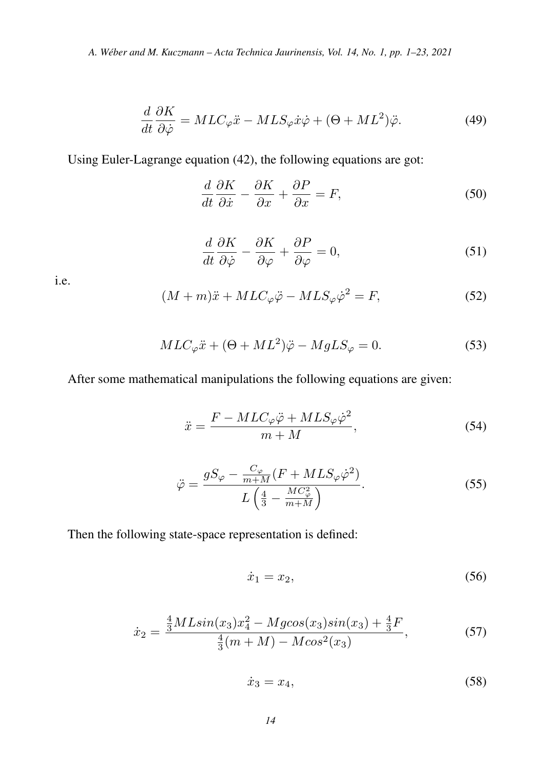$$
\frac{d}{dt}\frac{\partial K}{\partial \dot{\varphi}} = MLC_{\varphi}\ddot{x} - MLS_{\varphi}\dot{x}\dot{\varphi} + (\Theta + ML^2)\ddot{\varphi}.
$$
\n(49)

Using Euler-Lagrange equation (42), the following equations are got:

$$
\frac{d}{dt}\frac{\partial K}{\partial \dot{x}} - \frac{\partial K}{\partial x} + \frac{\partial P}{\partial x} = F,\tag{50}
$$

$$
\frac{d}{dt}\frac{\partial K}{\partial \dot{\varphi}} - \frac{\partial K}{\partial \varphi} + \frac{\partial P}{\partial \varphi} = 0,
$$
\n(51)

i.e.

$$
(M+m)\ddot{x} + MLC_{\varphi}\ddot{\varphi} - MLS_{\varphi}\dot{\varphi}^{2} = F,
$$
\n(52)

$$
MLC_{\varphi}\ddot{x} + (\Theta + ML^2)\ddot{\varphi} - MgLS_{\varphi} = 0.
$$
 (53)

After some mathematical manipulations the following equations are given:

$$
\ddot{x} = \frac{F - MLC_{\varphi}\ddot{\varphi} + MLS_{\varphi}\dot{\varphi}^{2}}{m + M},
$$
\n(54)

$$
\ddot{\varphi} = \frac{gS_{\varphi} - \frac{C_{\varphi}}{m+M}(F + MLS_{\varphi}\dot{\varphi}^{2})}{L\left(\frac{4}{3} - \frac{MC_{\varphi}^{2}}{m+M}\right)}.
$$
\n(55)

Then the following state-space representation is defined:

$$
\dot{x}_1 = x_2,\tag{56}
$$

$$
\dot{x}_2 = \frac{\frac{4}{3}MLsin(x_3)x_4^2 - Mg\cos(x_3)sin(x_3) + \frac{4}{3}F}{\frac{4}{3}(m+M) - Mcos^2(x_3)},
$$
\n(57)

$$
\dot{x}_3 = x_4,\tag{58}
$$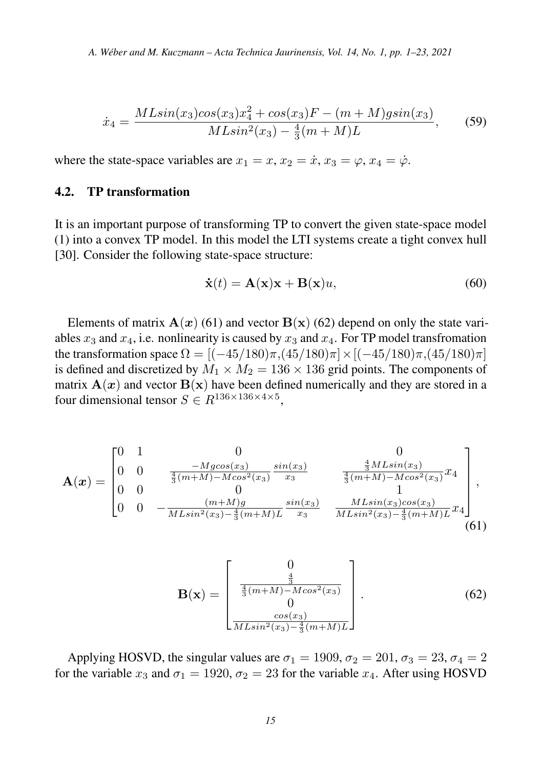$$
\dot{x}_4 = \frac{MLsin(x_3)cos(x_3)x_4^2 + cos(x_3)F - (m+M)gsin(x_3)}{MLsin^2(x_3) - \frac{4}{3}(m+M)L},
$$
(59)

where the state-space variables are  $x_1 = x, x_2 = \dot{x}, x_3 = \varphi, x_4 = \dot{\varphi}$ .

### 4.2. TP transformation

It is an important purpose of transforming TP to convert the given state-space model (1) into a convex TP model. In this model the LTI systems create a tight convex hull [\[30\]](#page-22-7). Consider the following state-space structure:

$$
\dot{\mathbf{x}}(t) = \mathbf{A}(\mathbf{x})\mathbf{x} + \mathbf{B}(\mathbf{x})u,\tag{60}
$$

Elements of matrix  $A(x)$  (61) and vector  $B(x)$  (62) depend on only the state variables  $x_3$  and  $x_4$ , i.e. nonlinearity is caused by  $x_3$  and  $x_4$ . For TP model transfromation the transformation space  $\Omega = [(-45/180)\pi, (45/180)\pi] \times [(-45/180)\pi, (45/180)\pi]$ is defined and discretized by  $M_1 \times M_2 = 136 \times 136$  grid points. The components of matrix  $A(x)$  and vector  $B(x)$  have been defined numerically and they are stored in a four dimensional tensor  $S \in R^{136 \times 136 \times 4 \times 5}$ ,

$$
\mathbf{A}(\boldsymbol{x}) = \begin{bmatrix} 0 & 1 & 0 & 0 & 0 \\ 0 & 0 & \frac{-Mg\cos(x_3)}{\frac{4}{3}(m+M)-M\cos^2(x_3)} \frac{\sin(x_3)}{x_3} & \frac{\frac{4}{3}ML\sin(x_3)}{\frac{4}{3}(m+M)-M\cos^2(x_3)}x_4 \\ 0 & 0 & 0 & 1 & 1 \\ 0 & 0 & -\frac{(m+M)g}{ML\sin^2(x_3) - \frac{4}{3}(m+M)L} \frac{\sin(x_3)}{x_3} & \frac{ML\sin(x_3)\cos(x_3)}{ML\sin^2(x_3) - \frac{4}{3}(m+M)L}x_4 \end{bmatrix},
$$
\n(61)

$$
\mathbf{B}(\mathbf{x}) = \begin{bmatrix} 0 \\ \frac{4}{3} \\ 0 \\ 0 \\ \frac{cos(x_3)}{M L sin^2(x_3) - \frac{4}{3}(m+M)L} \end{bmatrix} .
$$
 (62)

Applying HOSVD, the singular values are  $\sigma_1 = 1909$ ,  $\sigma_2 = 201$ ,  $\sigma_3 = 23$ ,  $\sigma_4 = 2$ for the variable  $x_3$  and  $\sigma_1 = 1920$ ,  $\sigma_2 = 23$  for the variable  $x_4$ . After using HOSVD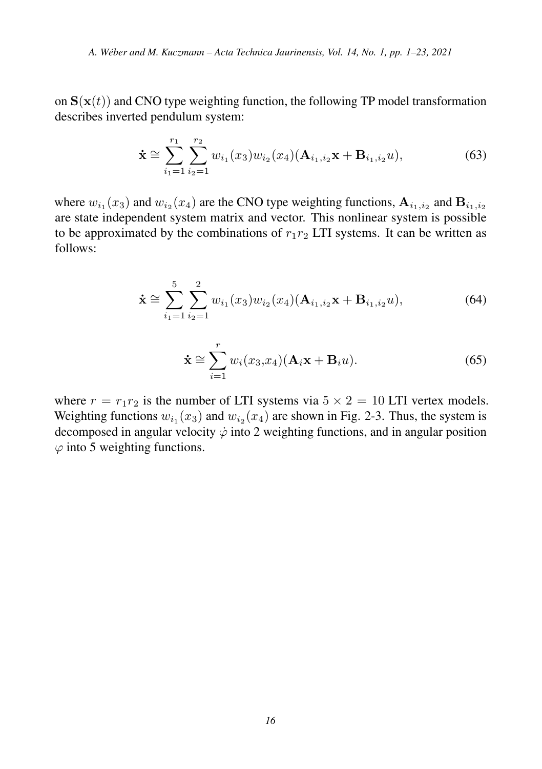on  $S(x(t))$  and CNO type weighting function, the following TP model transformation describes inverted pendulum system:

$$
\dot{\mathbf{x}} \cong \sum_{i_1=1}^{r_1} \sum_{i_2=1}^{r_2} w_{i_1}(x_3) w_{i_2}(x_4) (\mathbf{A}_{i_1, i_2} \mathbf{x} + \mathbf{B}_{i_1, i_2} u), \tag{63}
$$

where  $w_{i_1}(x_3)$  and  $w_{i_2}(x_4)$  are the CNO type weighting functions,  $A_{i_1,i_2}$  and  $B_{i_1,i_2}$ are state independent system matrix and vector. This nonlinear system is possible to be approximated by the combinations of  $r_1r_2$  LTI systems. It can be written as follows:

$$
\dot{\mathbf{x}} \approx \sum_{i_1=1}^5 \sum_{i_2=1}^2 w_{i_1}(x_3) w_{i_2}(x_4) (\mathbf{A}_{i_1, i_2} \mathbf{x} + \mathbf{B}_{i_1, i_2} u), \tag{64}
$$

$$
\dot{\mathbf{x}} \cong \sum_{i=1}^{r} w_i(x_3, x_4) (\mathbf{A}_i \mathbf{x} + \mathbf{B}_i u).
$$
 (65)

where  $r = r_1 r_2$  is the number of LTI systems via  $5 \times 2 = 10$  LTI vertex models. Weighting functions  $w_{i_1}(x_3)$  and  $w_{i_2}(x_4)$  are shown in Fig. 2-3. Thus, the system is decomposed in angular velocity  $\dot{\varphi}$  into 2 weighting functions, and in angular position  $\varphi$  into 5 weighting functions.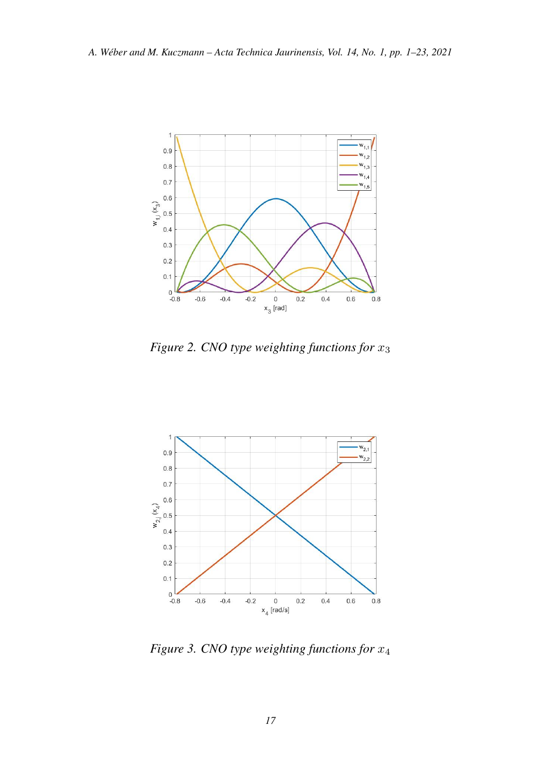

*Figure 2. CNO type weighting functions for* x<sup>3</sup>



*Figure 3. CNO type weighting functions for* x<sup>4</sup>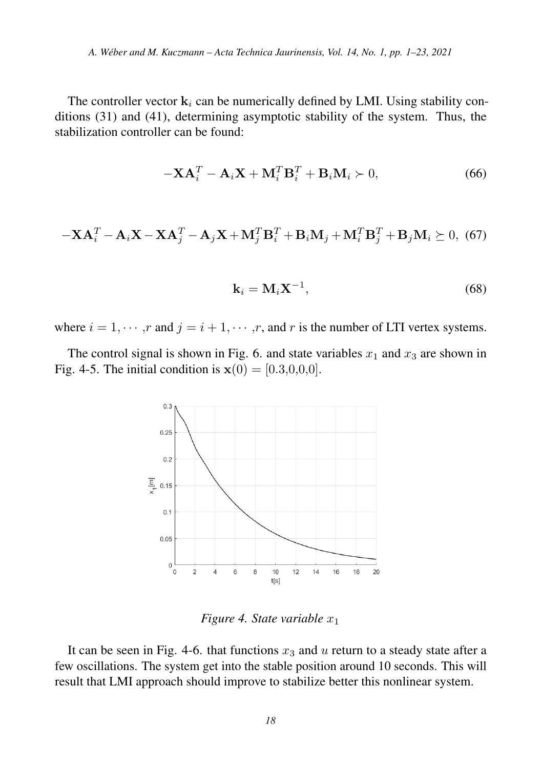The controller vector  $\mathbf{k}_i$  can be numerically defined by LMI. Using stability conditions (31) and (41), determining asymptotic stability of the system. Thus, the stabilization controller can be found:

$$
-\mathbf{X}\mathbf{A}_i^T - \mathbf{A}_i\mathbf{X} + \mathbf{M}_i^T\mathbf{B}_i^T + \mathbf{B}_i\mathbf{M}_i \succ 0,
$$
 (66)

$$
-\mathbf{X}\mathbf{A}_i^T - \mathbf{A}_i\mathbf{X} - \mathbf{X}\mathbf{A}_j^T - \mathbf{A}_j\mathbf{X} + \mathbf{M}_j^T\mathbf{B}_i^T + \mathbf{B}_i\mathbf{M}_j + \mathbf{M}_i^T\mathbf{B}_j^T + \mathbf{B}_j\mathbf{M}_i \succeq 0, \tag{67}
$$

$$
\mathbf{k}_i = \mathbf{M}_i \mathbf{X}^{-1},\tag{68}
$$

where  $i = 1, \dots, r$  and  $j = i + 1, \dots, r$ , and r is the number of LTI vertex systems.

The control signal is shown in Fig. 6. and state variables  $x_1$  and  $x_3$  are shown in Fig. 4-5. The initial condition is  $x(0) = [0.3, 0.0, 0.0]$ .



*Figure 4. State variable*  $x_1$ 

It can be seen in Fig. 4-6. that functions  $x_3$  and u return to a steady state after a few oscillations. The system get into the stable position around 10 seconds. This will result that LMI approach should improve to stabilize better this nonlinear system.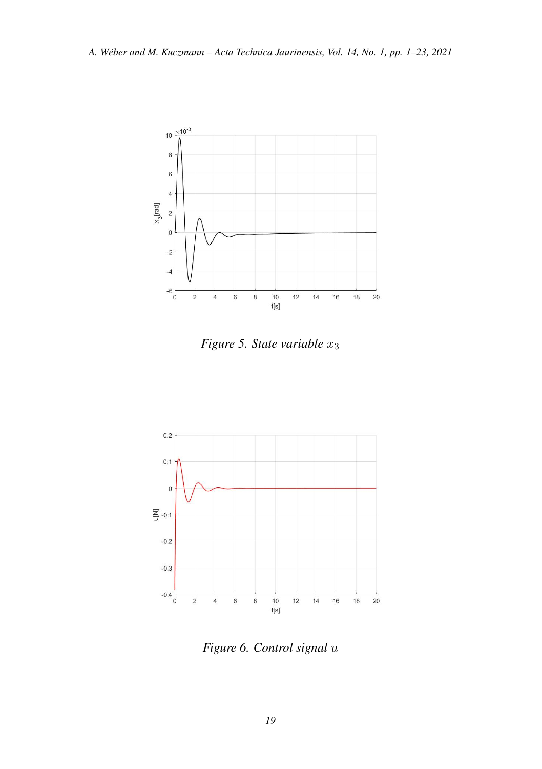

*Figure 5. State variable*  $x_3$ 



*Figure 6. Control signal* u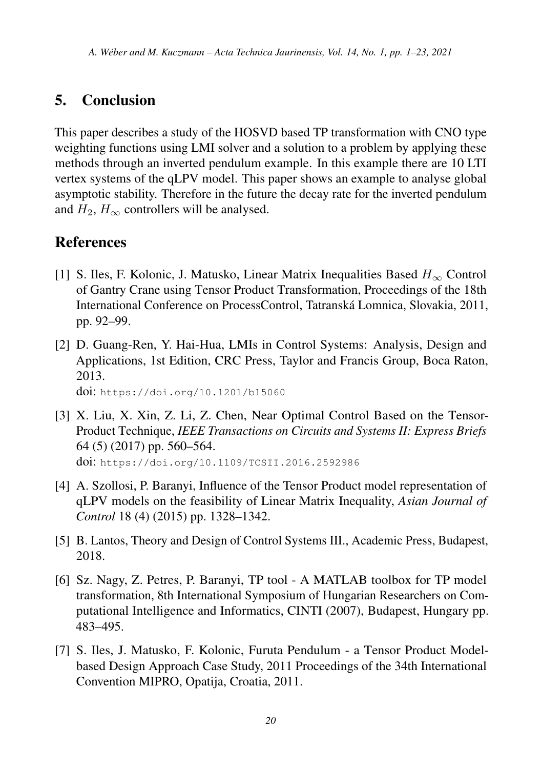# 5. Conclusion

This paper describes a study of the HOSVD based TP transformation with CNO type weighting functions using LMI solver and a solution to a problem by applying these methods through an inverted pendulum example. In this example there are 10 LTI vertex systems of the qLPV model. This paper shows an example to analyse global asymptotic stability. Therefore in the future the decay rate for the inverted pendulum and  $H_2$ ,  $H_{\infty}$  controllers will be analysed.

### **References**

- <span id="page-19-0"></span>[1] S. Iles, F. Kolonic, J. Matusko, Linear Matrix Inequalities Based  $H_{\infty}$  Control of Gantry Crane using Tensor Product Transformation, Proceedings of the 18th International Conference on ProcessControl, Tatranska Lomnica, Slovakia, 2011, ´ pp. 92–99.
- <span id="page-19-1"></span>[2] D. Guang-Ren, Y. Hai-Hua, LMIs in Control Systems: Analysis, Design and Applications, 1st Edition, CRC Press, Taylor and Francis Group, Boca Raton, 2013.

doi: <https://doi.org/10.1201/b15060>

- <span id="page-19-2"></span>[3] X. Liu, X. Xin, Z. Li, Z. Chen, Near Optimal Control Based on the Tensor-Product Technique, *IEEE Transactions on Circuits and Systems II: Express Briefs* 64 (5) (2017) pp. 560–564. doi: <https://doi.org/10.1109/TCSII.2016.2592986>
- <span id="page-19-3"></span>[4] A. Szollosi, P. Baranyi, Influence of the Tensor Product model representation of qLPV models on the feasibility of Linear Matrix Inequality, *Asian Journal of Control* 18 (4) (2015) pp. 1328–1342.
- <span id="page-19-4"></span>[5] B. Lantos, Theory and Design of Control Systems III., Academic Press, Budapest, 2018.
- <span id="page-19-5"></span>[6] Sz. Nagy, Z. Petres, P. Baranyi, TP tool - A MATLAB toolbox for TP model transformation, 8th International Symposium of Hungarian Researchers on Computational Intelligence and Informatics, CINTI (2007), Budapest, Hungary pp. 483–495.
- <span id="page-19-6"></span>[7] S. Iles, J. Matusko, F. Kolonic, Furuta Pendulum - a Tensor Product Modelbased Design Approach Case Study, 2011 Proceedings of the 34th International Convention MIPRO, Opatija, Croatia, 2011.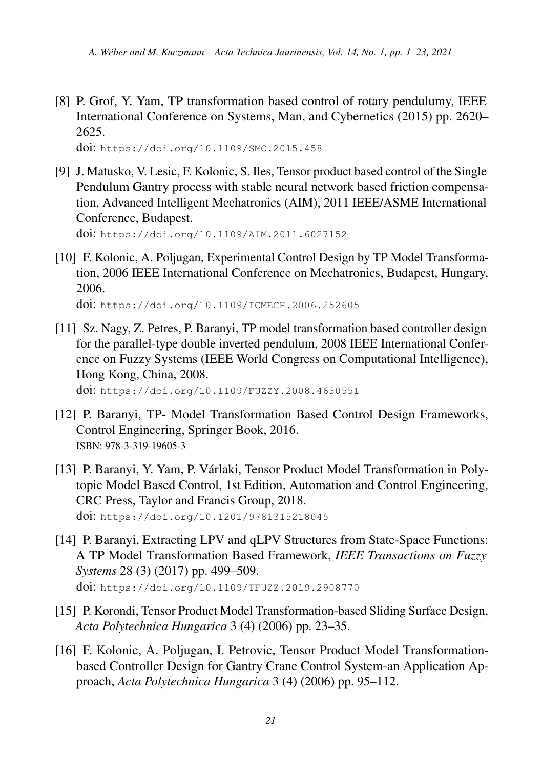<span id="page-20-0"></span>[8] P. Grof, Y. Yam, TP transformation based control of rotary pendulumy, IEEE International Conference on Systems, Man, and Cybernetics (2015) pp. 2620– 2625.

doi: <https://doi.org/10.1109/SMC.2015.458>

<span id="page-20-1"></span>[9] J. Matusko, V. Lesic, F. Kolonic, S. Iles, Tensor product based control of the Single Pendulum Gantry process with stable neural network based friction compensation, Advanced Intelligent Mechatronics (AIM), 2011 IEEE/ASME International Conference, Budapest.

doi: <https://doi.org/10.1109/AIM.2011.6027152>

<span id="page-20-2"></span>[10] F. Kolonic, A. Poljugan, Experimental Control Design by TP Model Transformation, 2006 IEEE International Conference on Mechatronics, Budapest, Hungary, 2006.

doi: <https://doi.org/10.1109/ICMECH.2006.252605>

<span id="page-20-3"></span>[11] Sz. Nagy, Z. Petres, P. Baranyi, TP model transformation based controller design for the parallel-type double inverted pendulum, 2008 IEEE International Conference on Fuzzy Systems (IEEE World Congress on Computational Intelligence), Hong Kong, China, 2008.

doi: <https://doi.org/10.1109/FUZZY.2008.4630551>

- <span id="page-20-4"></span>[12] P. Baranyi, TP- Model Transformation Based Control Design Frameworks, Control Engineering, Springer Book, 2016. ISBN: 978-3-319-19605-3
- <span id="page-20-5"></span>[13] P. Baranyi, Y. Yam, P. Varlaki, Tensor Product Model Transformation in Poly- ´ topic Model Based Control, 1st Edition, Automation and Control Engineering, CRC Press, Taylor and Francis Group, 2018. doi: <https://doi.org/10.1201/9781315218045>
- <span id="page-20-6"></span>[14] P. Baranyi, Extracting LPV and qLPV Structures from State-Space Functions: A TP Model Transformation Based Framework, *IEEE Transactions on Fuzzy Systems* 28 (3) (2017) pp. 499–509. doi: <https://doi.org/10.1109/TFUZZ.2019.2908770>
- <span id="page-20-7"></span>[15] P. Korondi, Tensor Product Model Transformation-based Sliding Surface Design, *Acta Polytechnica Hungarica* 3 (4) (2006) pp. 23–35.
- <span id="page-20-8"></span>[16] F. Kolonic, A. Poljugan, I. Petrovic, Tensor Product Model Transformationbased Controller Design for Gantry Crane Control System-an Application Approach, *Acta Polytechnica Hungarica* 3 (4) (2006) pp. 95–112.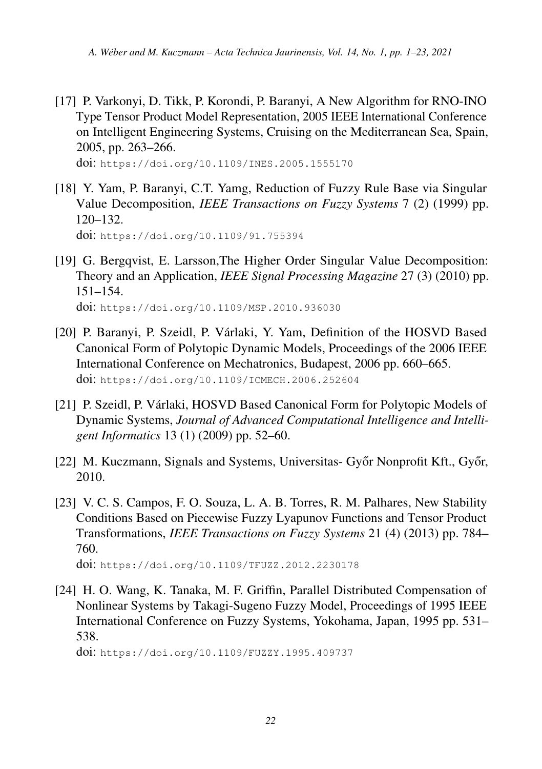<span id="page-21-0"></span>[17] P. Varkonyi, D. Tikk, P. Korondi, P. Baranyi, A New Algorithm for RNO-INO Type Tensor Product Model Representation, 2005 IEEE International Conference on Intelligent Engineering Systems, Cruising on the Mediterranean Sea, Spain, 2005, pp. 263–266.

doi: <https://doi.org/10.1109/INES.2005.1555170>

<span id="page-21-1"></span>[18] Y. Yam, P. Baranyi, C.T. Yamg, Reduction of Fuzzy Rule Base via Singular Value Decomposition, *IEEE Transactions on Fuzzy Systems* 7 (2) (1999) pp. 120–132.

doi: <https://doi.org/10.1109/91.755394>

- <span id="page-21-2"></span>[19] G. Bergqvist, E. Larsson,The Higher Order Singular Value Decomposition: Theory and an Application, *IEEE Signal Processing Magazine* 27 (3) (2010) pp. 151–154. doi: <https://doi.org/10.1109/MSP.2010.936030>
- <span id="page-21-3"></span>[20] P. Baranyi, P. Szeidl, P. Várlaki, Y. Yam, Definition of the HOSVD Based Canonical Form of Polytopic Dynamic Models, Proceedings of the 2006 IEEE International Conference on Mechatronics, Budapest, 2006 pp. 660–665. doi: <https://doi.org/10.1109/ICMECH.2006.252604>
- <span id="page-21-4"></span>[21] P. Szeidl, P. Várlaki, HOSVD Based Canonical Form for Polytopic Models of Dynamic Systems, *Journal of Advanced Computational Intelligence and Intelligent Informatics* 13 (1) (2009) pp. 52–60.
- <span id="page-21-5"></span>[22] M. Kuczmann, Signals and Systems, Universitas- Győr Nonprofit Kft., Győr, 2010.
- <span id="page-21-6"></span>[23] V. C. S. Campos, F. O. Souza, L. A. B. Torres, R. M. Palhares, New Stability Conditions Based on Piecewise Fuzzy Lyapunov Functions and Tensor Product Transformations, *IEEE Transactions on Fuzzy Systems* 21 (4) (2013) pp. 784– 760.

doi: <https://doi.org/10.1109/TFUZZ.2012.2230178>

<span id="page-21-7"></span>[24] H. O. Wang, K. Tanaka, M. F. Griffin, Parallel Distributed Compensation of Nonlinear Systems by Takagi-Sugeno Fuzzy Model, Proceedings of 1995 IEEE International Conference on Fuzzy Systems, Yokohama, Japan, 1995 pp. 531– 538.

doi: <https://doi.org/10.1109/FUZZY.1995.409737>